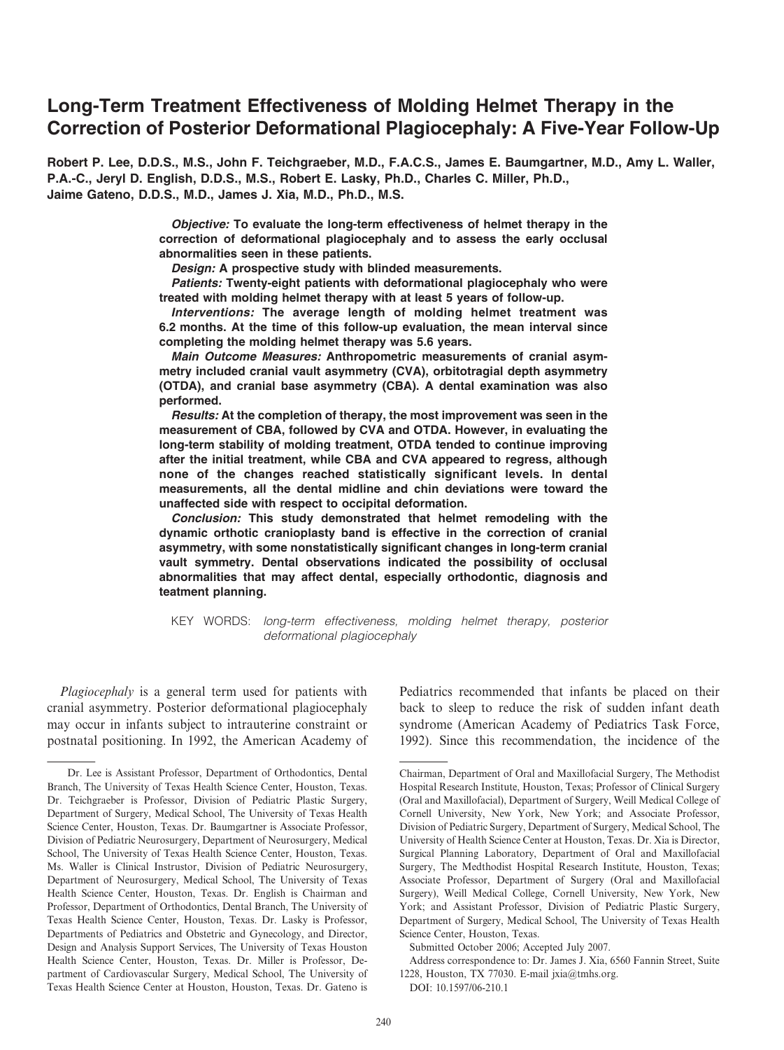# Long-Term Treatment Effectiveness of Molding Helmet Therapy in the Correction of Posterior Deformational Plagiocephaly: A Five-Year Follow-Up

Robert P. Lee, D.D.S., M.S., John F. Teichgraeber, M.D., F.A.C.S., James E. Baumgartner, M.D., Amy L. Waller, P.A.-C., Jeryl D. English, D.D.S., M.S., Robert E. Lasky, Ph.D., Charles C. Miller, Ph.D., Jaime Gateno, D.D.S., M.D., James J. Xia, M.D., Ph.D., M.S.

> Objective: To evaluate the long-term effectiveness of helmet therapy in the correction of deformational plagiocephaly and to assess the early occlusal abnormalities seen in these patients.

Design: A prospective study with blinded measurements.

Patients: Twenty-eight patients with deformational plagiocephaly who were treated with molding helmet therapy with at least 5 years of follow-up.

Interventions: The average length of molding helmet treatment was 6.2 months. At the time of this follow-up evaluation, the mean interval since completing the molding helmet therapy was 5.6 years.

Main Outcome Measures: Anthropometric measurements of cranial asymmetry included cranial vault asymmetry (CVA), orbitotragial depth asymmetry (OTDA), and cranial base asymmetry (CBA). A dental examination was also performed.

Results: At the completion of therapy, the most improvement was seen in the measurement of CBA, followed by CVA and OTDA. However, in evaluating the long-term stability of molding treatment, OTDA tended to continue improving after the initial treatment, while CBA and CVA appeared to regress, although none of the changes reached statistically significant levels. In dental measurements, all the dental midline and chin deviations were toward the unaffected side with respect to occipital deformation.

Conclusion: This study demonstrated that helmet remodeling with the dynamic orthotic cranioplasty band is effective in the correction of cranial asymmetry, with some nonstatistically significant changes in long-term cranial vault symmetry. Dental observations indicated the possibility of occlusal abnormalities that may affect dental, especially orthodontic, diagnosis and teatment planning.

KEY WORDS: long-term effectiveness, molding helmet therapy, posterior deformational plagiocephaly

Plagiocephaly is a general term used for patients with cranial asymmetry. Posterior deformational plagiocephaly may occur in infants subject to intrauterine constraint or postnatal positioning. In 1992, the American Academy of Pediatrics recommended that infants be placed on their back to sleep to reduce the risk of sudden infant death syndrome (American Academy of Pediatrics Task Force, 1992). Since this recommendation, the incidence of the

Submitted October 2006; Accepted July 2007.

Address correspondence to: Dr. James J. Xia, 6560 Fannin Street, Suite 1228, Houston, TX 77030. E-mail jxia@tmhs.org.

DOI: 10.1597/06-210.1

Dr. Lee is Assistant Professor, Department of Orthodontics, Dental Branch, The University of Texas Health Science Center, Houston, Texas. Dr. Teichgraeber is Professor, Division of Pediatric Plastic Surgery, Department of Surgery, Medical School, The University of Texas Health Science Center, Houston, Texas. Dr. Baumgartner is Associate Professor, Division of Pediatric Neurosurgery, Department of Neurosurgery, Medical School, The University of Texas Health Science Center, Houston, Texas. Ms. Waller is Clinical Instrustor, Division of Pediatric Neurosurgery, Department of Neurosurgery, Medical School, The University of Texas Health Science Center, Houston, Texas. Dr. English is Chairman and Professor, Department of Orthodontics, Dental Branch, The University of Texas Health Science Center, Houston, Texas. Dr. Lasky is Professor, Departments of Pediatrics and Obstetric and Gynecology, and Director, Design and Analysis Support Services, The University of Texas Houston Health Science Center, Houston, Texas. Dr. Miller is Professor, Department of Cardiovascular Surgery, Medical School, The University of Texas Health Science Center at Houston, Houston, Texas. Dr. Gateno is

Chairman, Department of Oral and Maxillofacial Surgery, The Methodist Hospital Research Institute, Houston, Texas; Professor of Clinical Surgery (Oral and Maxillofacial), Department of Surgery, Weill Medical College of Cornell University, New York, New York; and Associate Professor, Division of Pediatric Surgery, Department of Surgery, Medical School, The University of Health Science Center at Houston, Texas. Dr. Xia is Director, Surgical Planning Laboratory, Department of Oral and Maxillofacial Surgery, The Medthodist Hospital Research Institute, Houston, Texas; Associate Professor, Department of Surgery (Oral and Maxillofacial Surgery), Weill Medical College, Cornell University, New York, New York; and Assistant Professor, Division of Pediatric Plastic Surgery, Department of Surgery, Medical School, The University of Texas Health Science Center, Houston, Texas.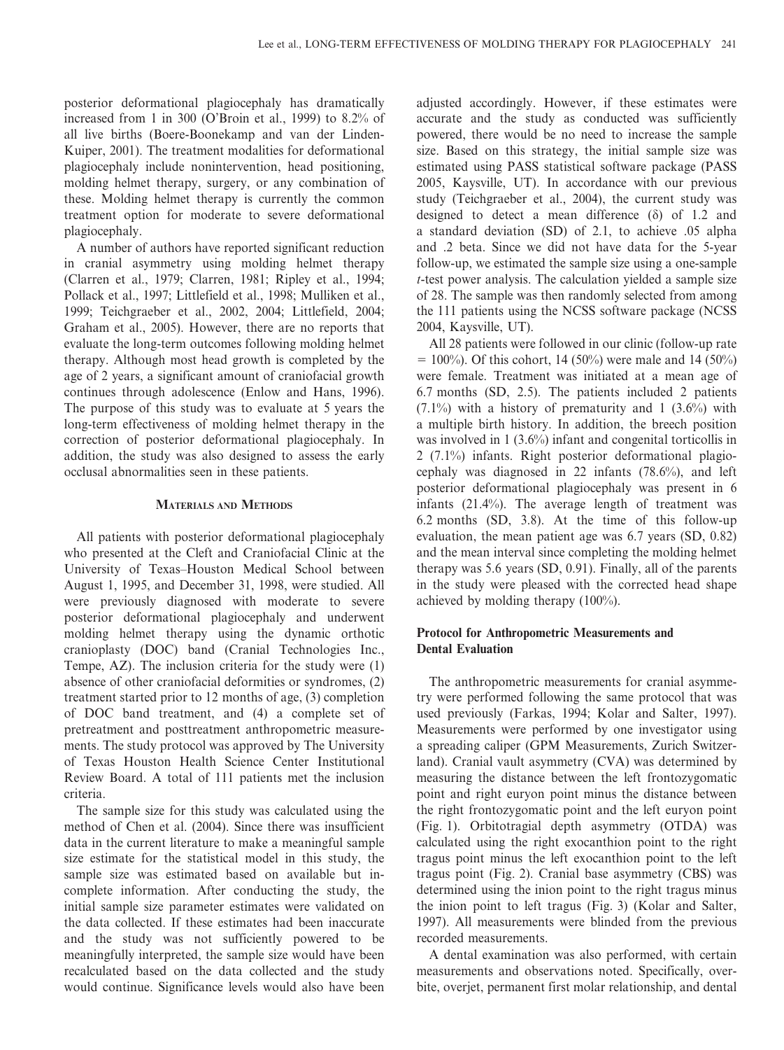posterior deformational plagiocephaly has dramatically increased from 1 in 300 (O'Broin et al., 1999) to 8.2% of all live births (Boere-Boonekamp and van der Linden-Kuiper, 2001). The treatment modalities for deformational plagiocephaly include nonintervention, head positioning, molding helmet therapy, surgery, or any combination of these. Molding helmet therapy is currently the common treatment option for moderate to severe deformational plagiocephaly.

A number of authors have reported significant reduction in cranial asymmetry using molding helmet therapy (Clarren et al., 1979; Clarren, 1981; Ripley et al., 1994; Pollack et al., 1997; Littlefield et al., 1998; Mulliken et al., 1999; Teichgraeber et al., 2002, 2004; Littlefield, 2004; Graham et al., 2005). However, there are no reports that evaluate the long-term outcomes following molding helmet therapy. Although most head growth is completed by the age of 2 years, a significant amount of craniofacial growth continues through adolescence (Enlow and Hans, 1996). The purpose of this study was to evaluate at 5 years the long-term effectiveness of molding helmet therapy in the correction of posterior deformational plagiocephaly. In addition, the study was also designed to assess the early occlusal abnormalities seen in these patients.

## MATERIALS AND METHODS

All patients with posterior deformational plagiocephaly who presented at the Cleft and Craniofacial Clinic at the University of Texas–Houston Medical School between August 1, 1995, and December 31, 1998, were studied. All were previously diagnosed with moderate to severe posterior deformational plagiocephaly and underwent molding helmet therapy using the dynamic orthotic cranioplasty (DOC) band (Cranial Technologies Inc., Tempe, AZ). The inclusion criteria for the study were (1) absence of other craniofacial deformities or syndromes, (2) treatment started prior to 12 months of age, (3) completion of DOC band treatment, and (4) a complete set of pretreatment and posttreatment anthropometric measurements. The study protocol was approved by The University of Texas Houston Health Science Center Institutional Review Board. A total of 111 patients met the inclusion criteria.

The sample size for this study was calculated using the method of Chen et al. (2004). Since there was insufficient data in the current literature to make a meaningful sample size estimate for the statistical model in this study, the sample size was estimated based on available but incomplete information. After conducting the study, the initial sample size parameter estimates were validated on the data collected. If these estimates had been inaccurate and the study was not sufficiently powered to be meaningfully interpreted, the sample size would have been recalculated based on the data collected and the study would continue. Significance levels would also have been

adjusted accordingly. However, if these estimates were accurate and the study as conducted was sufficiently powered, there would be no need to increase the sample size. Based on this strategy, the initial sample size was estimated using PASS statistical software package (PASS 2005, Kaysville, UT). In accordance with our previous study (Teichgraeber et al., 2004), the current study was designed to detect a mean difference  $(\delta)$  of 1.2 and a standard deviation (SD) of 2.1, to achieve .05 alpha and .2 beta. Since we did not have data for the 5-year follow-up, we estimated the sample size using a one-sample t-test power analysis. The calculation yielded a sample size of 28. The sample was then randomly selected from among the 111 patients using the NCSS software package (NCSS 2004, Kaysville, UT).

All 28 patients were followed in our clinic (follow-up rate  $= 100\%$ ). Of this cohort, 14 (50%) were male and 14 (50%) were female. Treatment was initiated at a mean age of 6.7 months (SD, 2.5). The patients included 2 patients  $(7.1\%)$  with a history of prematurity and 1  $(3.6\%)$  with a multiple birth history. In addition, the breech position was involved in 1 (3.6%) infant and congenital torticollis in 2 (7.1%) infants. Right posterior deformational plagiocephaly was diagnosed in 22 infants (78.6%), and left posterior deformational plagiocephaly was present in 6 infants (21.4%). The average length of treatment was 6.2 months (SD, 3.8). At the time of this follow-up evaluation, the mean patient age was 6.7 years (SD, 0.82) and the mean interval since completing the molding helmet therapy was 5.6 years (SD, 0.91). Finally, all of the parents in the study were pleased with the corrected head shape achieved by molding therapy (100%).

# Protocol for Anthropometric Measurements and Dental Evaluation

The anthropometric measurements for cranial asymmetry were performed following the same protocol that was used previously (Farkas, 1994; Kolar and Salter, 1997). Measurements were performed by one investigator using a spreading caliper (GPM Measurements, Zurich Switzerland). Cranial vault asymmetry (CVA) was determined by measuring the distance between the left frontozygomatic point and right euryon point minus the distance between the right frontozygomatic point and the left euryon point (Fig. 1). Orbitotragial depth asymmetry (OTDA) was calculated using the right exocanthion point to the right tragus point minus the left exocanthion point to the left tragus point (Fig. 2). Cranial base asymmetry (CBS) was determined using the inion point to the right tragus minus the inion point to left tragus (Fig. 3) (Kolar and Salter, 1997). All measurements were blinded from the previous recorded measurements.

A dental examination was also performed, with certain measurements and observations noted. Specifically, overbite, overjet, permanent first molar relationship, and dental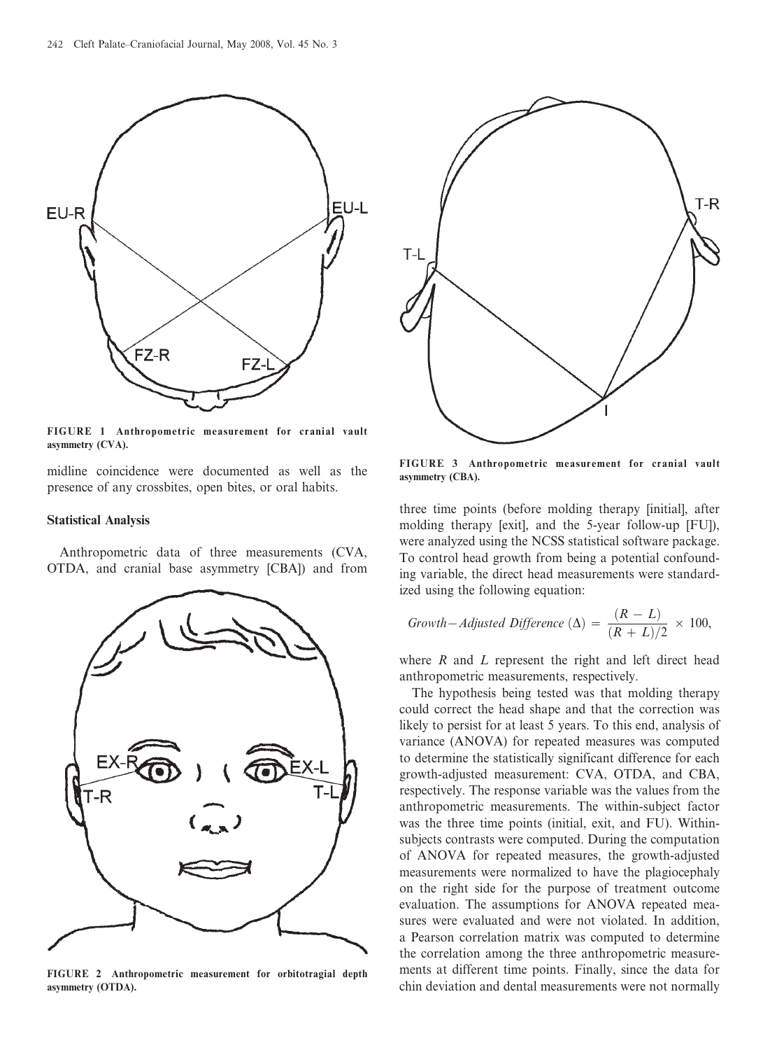

FIGURE 1 Anthropometric measurement for cranial vault asymmetry (CVA).

midline coincidence were documented as well as the presence of any crossbites, open bites, or oral habits.

### Statistical Analysis

Anthropometric data of three measurements (CVA, OTDA, and cranial base asymmetry [CBA]) and from



FIGURE 2 Anthropometric measurement for orbitotragial depth asymmetry (OTDA).



FIGURE 3 Anthropometric measurement for cranial vault asymmetry (CBA).

three time points (before molding therapy [initial], after molding therapy [exit], and the 5-year follow-up [FU]), were analyzed using the NCSS statistical software package. To control head growth from being a potential confounding variable, the direct head measurements were standardized using the following equation:

$$
Growth - Adjusted Difference (\Delta) = \frac{(R - L)}{(R + L)/2} \times 100,
$$

where  $R$  and  $L$  represent the right and left direct head anthropometric measurements, respectively.

The hypothesis being tested was that molding therapy could correct the head shape and that the correction was likely to persist for at least 5 years. To this end, analysis of variance (ANOVA) for repeated measures was computed to determine the statistically significant difference for each growth-adjusted measurement: CVA, OTDA, and CBA, respectively. The response variable was the values from the anthropometric measurements. The within-subject factor was the three time points (initial, exit, and FU). Withinsubjects contrasts were computed. During the computation of ANOVA for repeated measures, the growth-adjusted measurements were normalized to have the plagiocephaly on the right side for the purpose of treatment outcome evaluation. The assumptions for ANOVA repeated measures were evaluated and were not violated. In addition, a Pearson correlation matrix was computed to determine the correlation among the three anthropometric measurements at different time points. Finally, since the data for chin deviation and dental measurements were not normally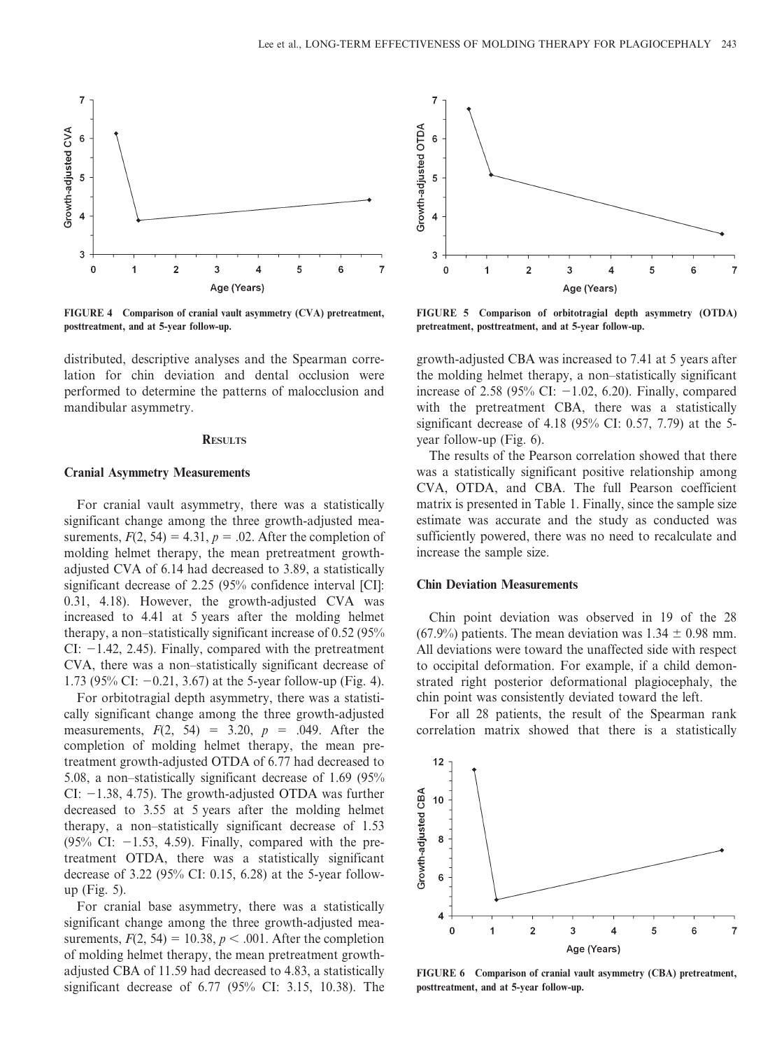

FIGURE 4 Comparison of cranial vault asymmetry (CVA) pretreatment, posttreatment, and at 5-year follow-up.

distributed, descriptive analyses and the Spearman correlation for chin deviation and dental occlusion were performed to determine the patterns of malocclusion and mandibular asymmetry.

#### **RESULTS**

## Cranial Asymmetry Measurements

For cranial vault asymmetry, there was a statistically significant change among the three growth-adjusted measurements,  $F(2, 54) = 4.31$ ,  $p = .02$ . After the completion of molding helmet therapy, the mean pretreatment growthadjusted CVA of 6.14 had decreased to 3.89, a statistically significant decrease of 2.25 (95% confidence interval [CI]: 0.31, 4.18). However, the growth-adjusted CVA was increased to 4.41 at 5 years after the molding helmet therapy, a non–statistically significant increase of 0.52 (95% CI:  $-1.42$ , 2.45). Finally, compared with the pretreatment CVA, there was a non–statistically significant decrease of 1.73 (95% CI:  $-0.21$ , 3.67) at the 5-year follow-up (Fig. 4).

For orbitotragial depth asymmetry, there was a statistically significant change among the three growth-adjusted measurements,  $F(2, 54) = 3.20, p = .049$ . After the completion of molding helmet therapy, the mean pretreatment growth-adjusted OTDA of 6.77 had decreased to 5.08, a non–statistically significant decrease of 1.69 (95% CI:  $-1.38$ , 4.75). The growth-adjusted OTDA was further decreased to 3.55 at 5 years after the molding helmet therapy, a non–statistically significant decrease of 1.53  $(95\% \text{ CI: } -1.53, 4.59)$ . Finally, compared with the pretreatment OTDA, there was a statistically significant decrease of 3.22 (95% CI: 0.15, 6.28) at the 5-year followup (Fig. 5).

For cranial base asymmetry, there was a statistically significant change among the three growth-adjusted measurements,  $F(2, 54) = 10.38$ ,  $p < .001$ . After the completion of molding helmet therapy, the mean pretreatment growthadjusted CBA of 11.59 had decreased to 4.83, a statistically significant decrease of 6.77 (95% CI: 3.15, 10.38). The



FIGURE 5 Comparison of orbitotragial depth asymmetry (OTDA) pretreatment, posttreatment, and at 5-year follow-up.

growth-adjusted CBA was increased to 7.41 at 5 years after the molding helmet therapy, a non–statistically significant increase of 2.58 (95% CI:  $-1.02$ , 6.20). Finally, compared with the pretreatment CBA, there was a statistically significant decrease of 4.18 (95% CI: 0.57, 7.79) at the 5 year follow-up (Fig. 6).

The results of the Pearson correlation showed that there was a statistically significant positive relationship among CVA, OTDA, and CBA. The full Pearson coefficient matrix is presented in Table 1. Finally, since the sample size estimate was accurate and the study as conducted was sufficiently powered, there was no need to recalculate and increase the sample size.

## Chin Deviation Measurements

Chin point deviation was observed in 19 of the 28 (67.9%) patients. The mean deviation was  $1.34 \pm 0.98$  mm. All deviations were toward the unaffected side with respect to occipital deformation. For example, if a child demonstrated right posterior deformational plagiocephaly, the chin point was consistently deviated toward the left.

For all 28 patients, the result of the Spearman rank correlation matrix showed that there is a statistically



FIGURE 6 Comparison of cranial vault asymmetry (CBA) pretreatment, posttreatment, and at 5-year follow-up.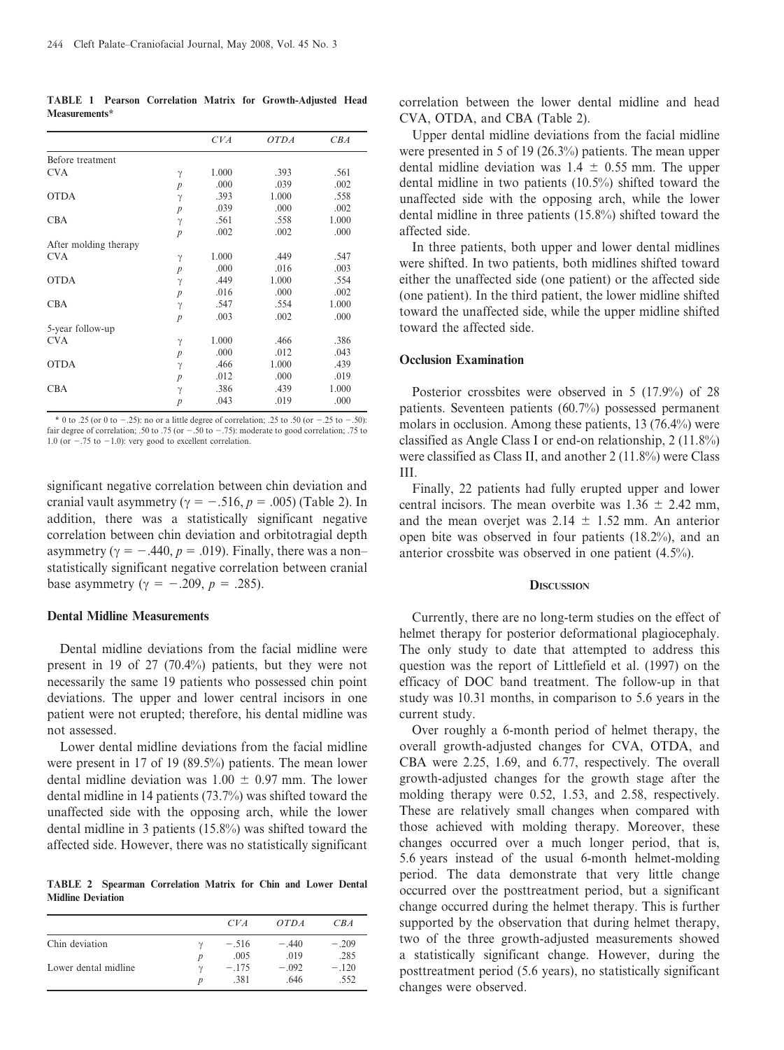TABLE 1 Pearson Correlation Matrix for Growth-Adjusted Head Measurements\*

|                       |                  | CVA   | <b>OTDA</b> | CBA   |
|-----------------------|------------------|-------|-------------|-------|
| Before treatment      |                  |       |             |       |
| <b>CVA</b>            | $\gamma$         | 1.000 | .393        | .561  |
|                       | $\boldsymbol{p}$ | .000  | .039        | .002  |
| <b>OTDA</b>           | $\gamma$         | .393  | 1.000       | .558  |
|                       | $\boldsymbol{p}$ | .039  | .000        | .002  |
| <b>CBA</b>            | $\gamma$         | .561  | .558        | 1.000 |
|                       | $\overline{p}$   | .002  | .002        | .000  |
| After molding therapy |                  |       |             |       |
| <b>CVA</b>            | $\gamma$         | 1.000 | .449        | .547  |
|                       | $\boldsymbol{p}$ | .000  | .016        | .003  |
| <b>OTDA</b>           | $\gamma$         | .449  | 1.000       | .554  |
|                       | $\boldsymbol{p}$ | .016  | .000        | .002  |
| <b>CBA</b>            | $\gamma$         | .547  | .554        | 1.000 |
|                       | $\overline{p}$   | .003  | .002        | .000  |
| 5-year follow-up      |                  |       |             |       |
| <b>CVA</b>            | γ                | 1.000 | .466        | .386  |
|                       | $\overline{p}$   | .000  | .012        | .043  |
| <b>OTDA</b>           | $\gamma$         | .466  | 1.000       | .439  |
|                       | $\boldsymbol{p}$ | .012  | .000        | .019  |
| <b>CBA</b>            | $\gamma$         | .386  | .439        | 1.000 |
|                       | $\boldsymbol{p}$ | .043  | .019        | .000  |

\* 0 to .25 (or 0 to  $-0.25$ ): no or a little degree of correlation; .25 to .50 (or  $-0.25$  to  $-0.50$ ): fair degree of correlation; .50 to .75 (or  $-.50$  to  $-.75$ ): moderate to good correlation; .75 to 1.0 (or  $-.75$  to  $-1.0$ ): very good to excellent correlation.

significant negative correlation between chin deviation and cranial vault asymmetry ( $\gamma = -.516$ ,  $p = .005$ ) (Table 2). In addition, there was a statistically significant negative correlation between chin deviation and orbitotragial depth asymmetry ( $\gamma = -.440, p = .019$ ). Finally, there was a non– statistically significant negative correlation between cranial base asymmetry ( $\gamma = -.209$ ,  $p = .285$ ).

## Dental Midline Measurements

Dental midline deviations from the facial midline were present in 19 of 27 (70.4%) patients, but they were not necessarily the same 19 patients who possessed chin point deviations. The upper and lower central incisors in one patient were not erupted; therefore, his dental midline was not assessed.

Lower dental midline deviations from the facial midline were present in 17 of 19 (89.5%) patients. The mean lower dental midline deviation was  $1.00 \pm 0.97$  mm. The lower dental midline in 14 patients (73.7%) was shifted toward the unaffected side with the opposing arch, while the lower dental midline in 3 patients (15.8%) was shifted toward the affected side. However, there was no statistically significant

TABLE 2 Spearman Correlation Matrix for Chin and Lower Dental Midline Deviation

|                      | CVA             | OTDA            | CB A            |
|----------------------|-----------------|-----------------|-----------------|
| Chin deviation       | $-.516$<br>.005 | $-.440$<br>.019 | $-.209$<br>.285 |
| Lower dental midline | $-.175$<br>.381 | $-.092$<br>.646 | $-.120$<br>.552 |

correlation between the lower dental midline and head CVA, OTDA, and CBA (Table 2).

Upper dental midline deviations from the facial midline were presented in 5 of 19 (26.3%) patients. The mean upper dental midline deviation was  $1.4 \pm 0.55$  mm. The upper dental midline in two patients (10.5%) shifted toward the unaffected side with the opposing arch, while the lower dental midline in three patients (15.8%) shifted toward the affected side.

In three patients, both upper and lower dental midlines were shifted. In two patients, both midlines shifted toward either the unaffected side (one patient) or the affected side (one patient). In the third patient, the lower midline shifted toward the unaffected side, while the upper midline shifted toward the affected side.

## Occlusion Examination

Posterior crossbites were observed in 5 (17.9%) of 28 patients. Seventeen patients (60.7%) possessed permanent molars in occlusion. Among these patients, 13 (76.4%) were classified as Angle Class I or end-on relationship, 2 (11.8%) were classified as Class II, and another 2 (11.8%) were Class III.

Finally, 22 patients had fully erupted upper and lower central incisors. The mean overbite was  $1.36 \pm 2.42$  mm, and the mean overjet was  $2.14 \pm 1.52$  mm. An anterior open bite was observed in four patients (18.2%), and an anterior crossbite was observed in one patient (4.5%).

## **DISCUSSION**

Currently, there are no long-term studies on the effect of helmet therapy for posterior deformational plagiocephaly. The only study to date that attempted to address this question was the report of Littlefield et al. (1997) on the efficacy of DOC band treatment. The follow-up in that study was 10.31 months, in comparison to 5.6 years in the current study.

Over roughly a 6-month period of helmet therapy, the overall growth-adjusted changes for CVA, OTDA, and CBA were 2.25, 1.69, and 6.77, respectively. The overall growth-adjusted changes for the growth stage after the molding therapy were 0.52, 1.53, and 2.58, respectively. These are relatively small changes when compared with those achieved with molding therapy. Moreover, these changes occurred over a much longer period, that is, 5.6 years instead of the usual 6-month helmet-molding period. The data demonstrate that very little change occurred over the posttreatment period, but a significant change occurred during the helmet therapy. This is further supported by the observation that during helmet therapy, two of the three growth-adjusted measurements showed a statistically significant change. However, during the posttreatment period (5.6 years), no statistically significant changes were observed.